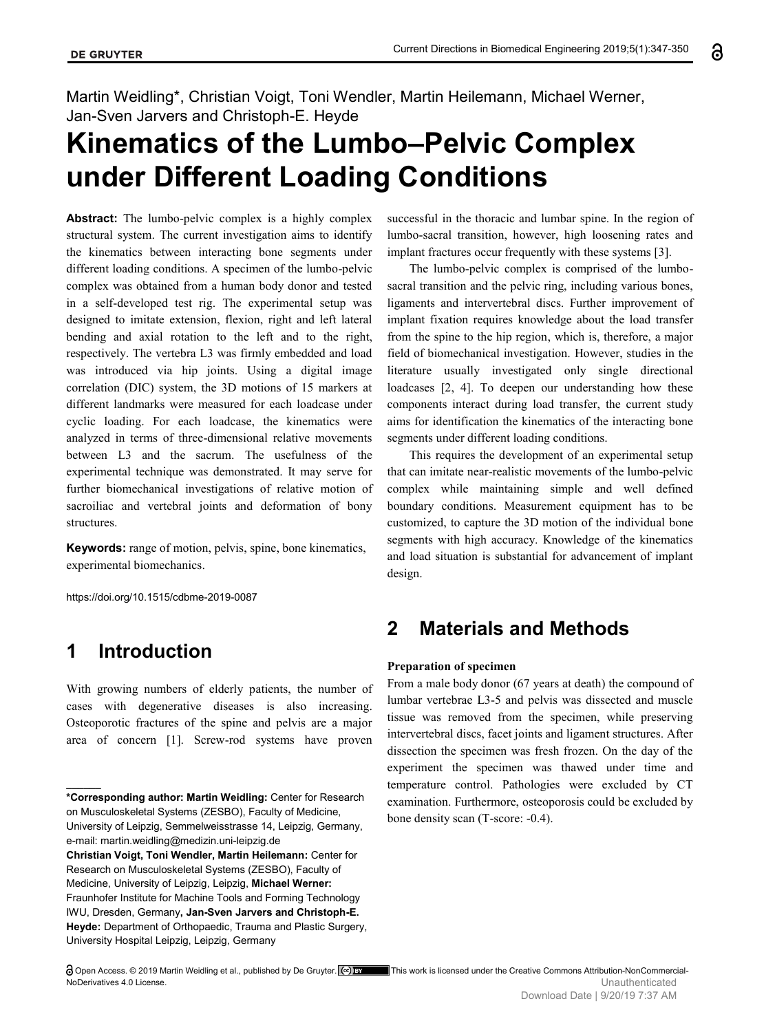Martin Weidling\*, Christian Voigt, Toni Wendler, Martin Heilemann, Michael Werner, Jan-Sven Jarvers and Christoph-E. Heyde

# **Kinematics of the Lumbo–Pelvic Complex under Different Loading Conditions**

**Abstract:** The lumbo-pelvic complex is a highly complex structural system. The current investigation aims to identify the kinematics between interacting bone segments under different loading conditions. A specimen of the lumbo-pelvic complex was obtained from a human body donor and tested in a self-developed test rig. The experimental setup was designed to imitate extension, flexion, right and left lateral bending and axial rotation to the left and to the right, respectively. The vertebra L3 was firmly embedded and load was introduced via hip joints. Using a digital image correlation (DIC) system, the 3D motions of 15 markers at different landmarks were measured for each loadcase under cyclic loading. For each loadcase, the kinematics were analyzed in terms of three-dimensional relative movements between L3 and the sacrum. The usefulness of the experimental technique was demonstrated. It may serve for further biomechanical investigations of relative motion of sacroiliac and vertebral joints and deformation of bony structures.

**Keywords:** range of motion, pelvis, spine, bone kinematics, experimental biomechanics.

https://doi.org/10.1515/cdbme-2019-0087

# **1 Introduction**

**\_\_\_\_\_\_**

With growing numbers of elderly patients, the number of cases with degenerative diseases is also increasing. Osteoporotic fractures of the spine and pelvis are a major area of concern [1]. Screw-rod systems have proven

successful in the thoracic and lumbar spine. In the region of lumbo-sacral transition, however, high loosening rates and implant fractures occur frequently with these systems [3].

The lumbo-pelvic complex is comprised of the lumbosacral transition and the pelvic ring, including various bones, ligaments and intervertebral discs. Further improvement of implant fixation requires knowledge about the load transfer from the spine to the hip region, which is, therefore, a major field of biomechanical investigation. However, studies in the literature usually investigated only single directional loadcases [2, 4]. To deepen our understanding how these components interact during load transfer, the current study aims for identification the kinematics of the interacting bone segments under different loading conditions.

This requires the development of an experimental setup that can imitate near-realistic movements of the lumbo-pelvic complex while maintaining simple and well defined boundary conditions. Measurement equipment has to be customized, to capture the 3D motion of the individual bone segments with high accuracy. Knowledge of the kinematics and load situation is substantial for advancement of implant design.

## **2 Materials and Methods**

#### **Preparation of specimen**

From a male body donor (67 years at death) the compound of lumbar vertebrae L3-5 and pelvis was dissected and muscle tissue was removed from the specimen, while preserving intervertebral discs, facet joints and ligament structures. After dissection the specimen was fresh frozen. On the day of the experiment the specimen was thawed under time and temperature control. Pathologies were excluded by CT examination. Furthermore, osteoporosis could be excluded by bone density scan (T-score: -0.4).

**<sup>\*</sup>Corresponding author: Martin Weidling:** Center for Research on Musculoskeletal Systems (ZESBO), Faculty of Medicine, University of Leipzig, Semmelweisstrasse 14, Leipzig, Germany, e-mail: martin.weidling@medizin.uni-leipzig.de

**Christian Voigt, Toni Wendler, Martin Heilemann:** Center for Research on Musculoskeletal Systems (ZESBO), Faculty of Medicine, University of Leipzig, Leipzig, **Michael Werner:** Fraunhofer Institute for Machine Tools and Forming Technology IWU, Dresden, Germany**, Jan-Sven Jarvers and Christoph-E. Heyde:** Department of Orthopaedic, Trauma and Plastic Surgery, University Hospital Leipzig, Leipzig, Germany

Open Access. © 2019 Martin Weidling et al., published by De Gruyter. <sup>[ce]</sup> **BY** This work is licensed under the Creative Commons Attribution-NonCommercial-NoDerivatives 4.0 License.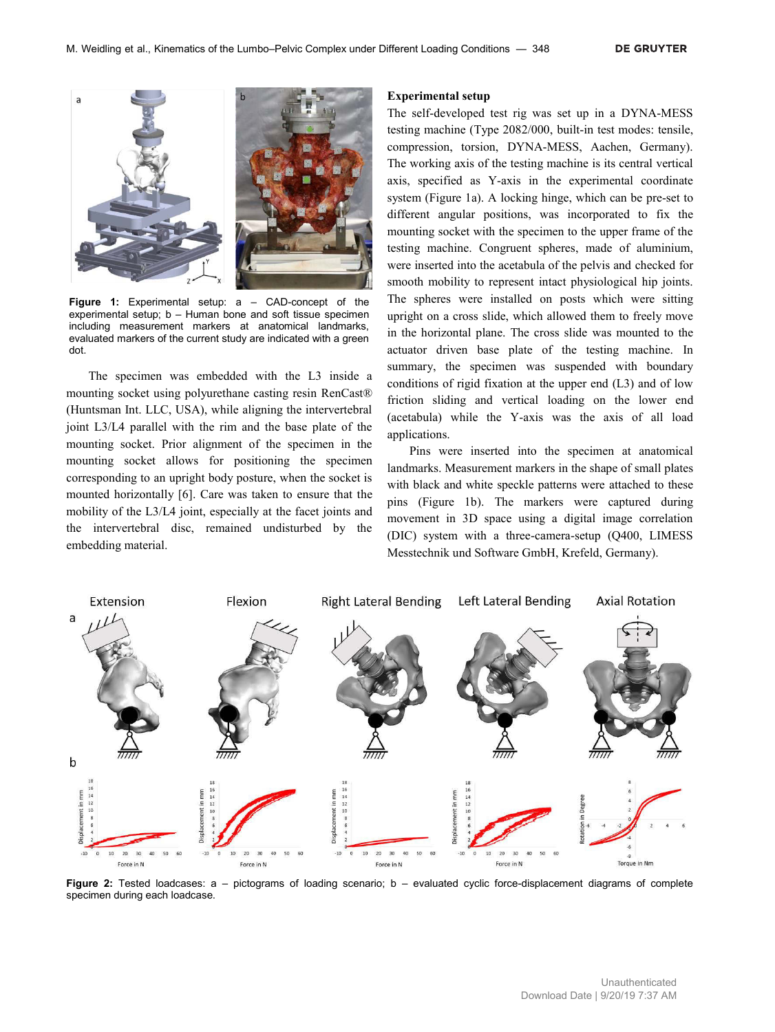

**Figure 1:** Experimental setup: a – CAD-concept of the experimental setup; b – Human bone and soft tissue specimen including measurement markers at anatomical landmarks, evaluated markers of the current study are indicated with a green dot.

The specimen was embedded with the L3 inside a mounting socket using polyurethane casting resin RenCast® (Huntsman Int. LLC, USA), while aligning the intervertebral joint L3/L4 parallel with the rim and the base plate of the mounting socket. Prior alignment of the specimen in the mounting socket allows for positioning the specimen corresponding to an upright body posture, when the socket is mounted horizontally [6]. Care was taken to ensure that the mobility of the L3/L4 joint, especially at the facet joints and the intervertebral disc, remained undisturbed by the embedding material.

#### **Experimental setup**

The self-developed test rig was set up in a DYNA-MESS testing machine (Type 2082/000, built-in test modes: tensile, compression, torsion, DYNA-MESS, Aachen, Germany). The working axis of the testing machine is its central vertical axis, specified as Y-axis in the experimental coordinate system (Figure 1a). A locking hinge, which can be pre-set to different angular positions, was incorporated to fix the mounting socket with the specimen to the upper frame of the testing machine. Congruent spheres, made of aluminium, were inserted into the acetabula of the pelvis and checked for smooth mobility to represent intact physiological hip joints. The spheres were installed on posts which were sitting upright on a cross slide, which allowed them to freely move in the horizontal plane. The cross slide was mounted to the actuator driven base plate of the testing machine. In summary, the specimen was suspended with boundary conditions of rigid fixation at the upper end (L3) and of low friction sliding and vertical loading on the lower end (acetabula) while the Y-axis was the axis of all load applications.

Pins were inserted into the specimen at anatomical landmarks. Measurement markers in the shape of small plates with black and white speckle patterns were attached to these pins (Figure 1b). The markers were captured during movement in 3D space using a digital image correlation (DIC) system with a three-camera-setup (Q400, LIMESS Messtechnik und Software GmbH, Krefeld, Germany).



**Figure 2:** Tested loadcases: a – pictograms of loading scenario; b – evaluated cyclic force-displacement diagrams of complete specimen during each loadcase.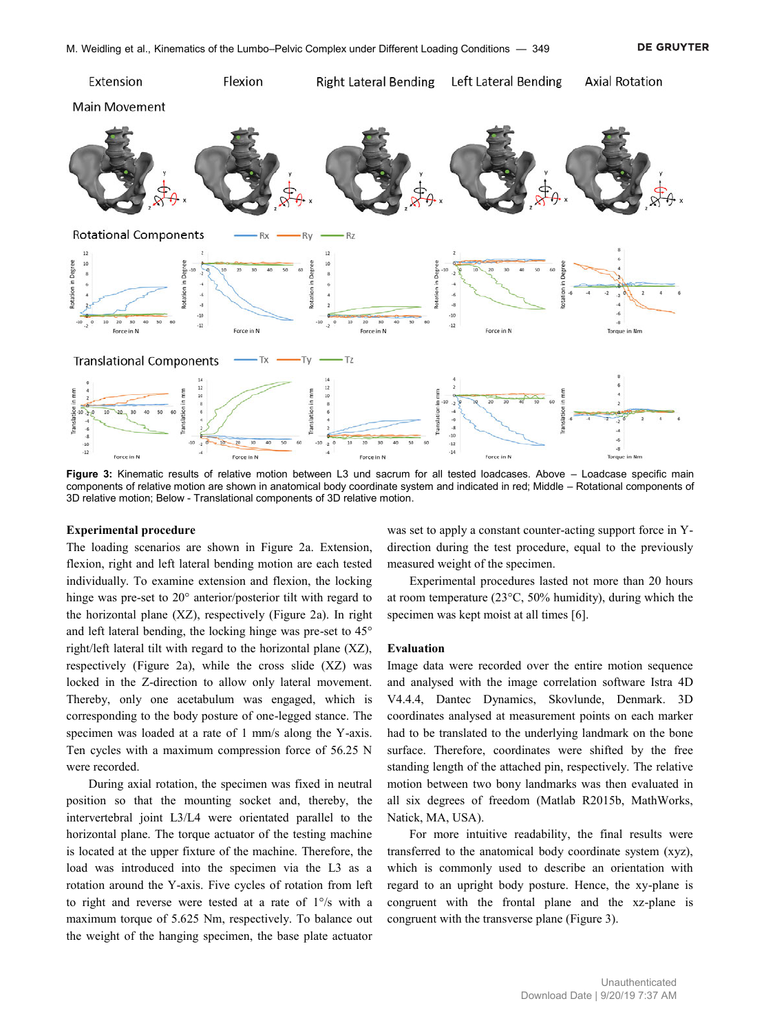

**Figure 3:** Kinematic results of relative motion between L3 und sacrum for all tested loadcases. Above – Loadcase specific main components of relative motion are shown in anatomical body coordinate system and indicated in red; Middle – Rotational components of 3D relative motion; Below - Translational components of 3D relative motion.

#### **Experimental procedure**

The loading scenarios are shown in Figure 2a. Extension, flexion, right and left lateral bending motion are each tested individually. To examine extension and flexion, the locking hinge was pre-set to 20° anterior/posterior tilt with regard to the horizontal plane (XZ), respectively (Figure 2a). In right and left lateral bending, the locking hinge was pre-set to 45° right/left lateral tilt with regard to the horizontal plane (XZ), respectively (Figure 2a), while the cross slide (XZ) was locked in the Z-direction to allow only lateral movement. Thereby, only one acetabulum was engaged, which is corresponding to the body posture of one-legged stance. The specimen was loaded at a rate of 1 mm/s along the Y-axis. Ten cycles with a maximum compression force of 56.25 N were recorded.

During axial rotation, the specimen was fixed in neutral position so that the mounting socket and, thereby, the intervertebral joint L3/L4 were orientated parallel to the horizontal plane. The torque actuator of the testing machine is located at the upper fixture of the machine. Therefore, the load was introduced into the specimen via the L3 as a rotation around the Y-axis. Five cycles of rotation from left to right and reverse were tested at a rate of 1°/s with a maximum torque of 5.625 Nm, respectively. To balance out the weight of the hanging specimen, the base plate actuator was set to apply a constant counter-acting support force in Ydirection during the test procedure, equal to the previously measured weight of the specimen.

Experimental procedures lasted not more than 20 hours at room temperature (23°C, 50% humidity), during which the specimen was kept moist at all times [6].

#### **Evaluation**

Image data were recorded over the entire motion sequence and analysed with the image correlation software Istra 4D V4.4.4, Dantec Dynamics, Skovlunde, Denmark. 3D coordinates analysed at measurement points on each marker had to be translated to the underlying landmark on the bone surface. Therefore, coordinates were shifted by the free standing length of the attached pin, respectively. The relative motion between two bony landmarks was then evaluated in all six degrees of freedom (Matlab R2015b, MathWorks, Natick, MA, USA).

For more intuitive readability, the final results were transferred to the anatomical body coordinate system (xyz), which is commonly used to describe an orientation with regard to an upright body posture. Hence, the xy-plane is congruent with the frontal plane and the xz-plane is congruent with the transverse plane (Figure 3).